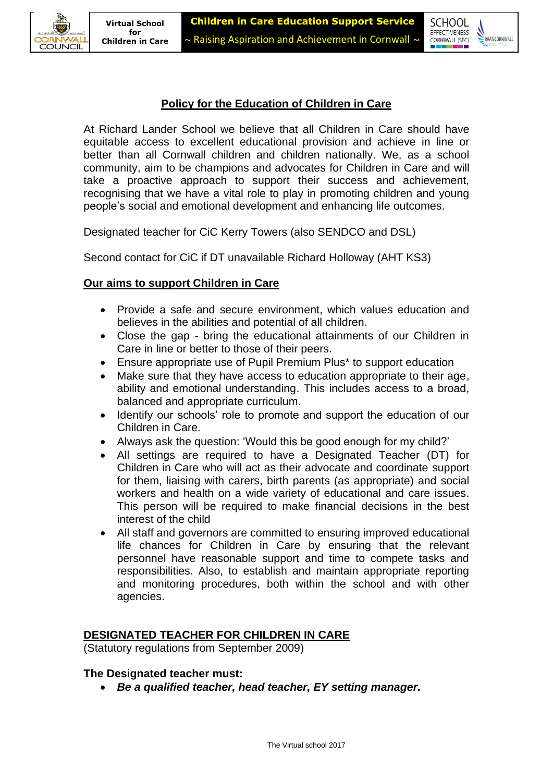

# **Policy for the Education of Children in Care**

At Richard Lander School we believe that all Children in Care should have equitable access to excellent educational provision and achieve in line or better than all Cornwall children and children nationally. We, as a school community, aim to be champions and advocates for Children in Care and will take a proactive approach to support their success and achievement, recognising that we have a vital role to play in promoting children and young people's social and emotional development and enhancing life outcomes.

Designated teacher for CiC Kerry Towers (also SENDCO and DSL)

Second contact for CiC if DT unavailable Richard Holloway (AHT KS3)

# **Our aims to support Children in Care**

- Provide a safe and secure environment, which values education and believes in the abilities and potential of all children.
- Close the gap bring the educational attainments of our Children in Care in line or better to those of their peers.
- Ensure appropriate use of Pupil Premium Plus<sup>\*</sup> to support education
- Make sure that they have access to education appropriate to their age, ability and emotional understanding. This includes access to a broad, balanced and appropriate curriculum.
- Identify our schools' role to promote and support the education of our Children in Care.
- Always ask the question: 'Would this be good enough for my child?'
- All settings are required to have a Designated Teacher (DT) for Children in Care who will act as their advocate and coordinate support for them, liaising with carers, birth parents (as appropriate) and social workers and health on a wide variety of educational and care issues. This person will be required to make financial decisions in the best interest of the child
- All staff and governors are committed to ensuring improved educational life chances for Children in Care by ensuring that the relevant personnel have reasonable support and time to compete tasks and responsibilities. Also, to establish and maintain appropriate reporting and monitoring procedures, both within the school and with other agencies.

# **DESIGNATED TEACHER FOR CHILDREN IN CARE**

(Statutory regulations from September 2009)

### **The Designated teacher must:**

• *Be a qualified teacher, head teacher, EY setting manager.*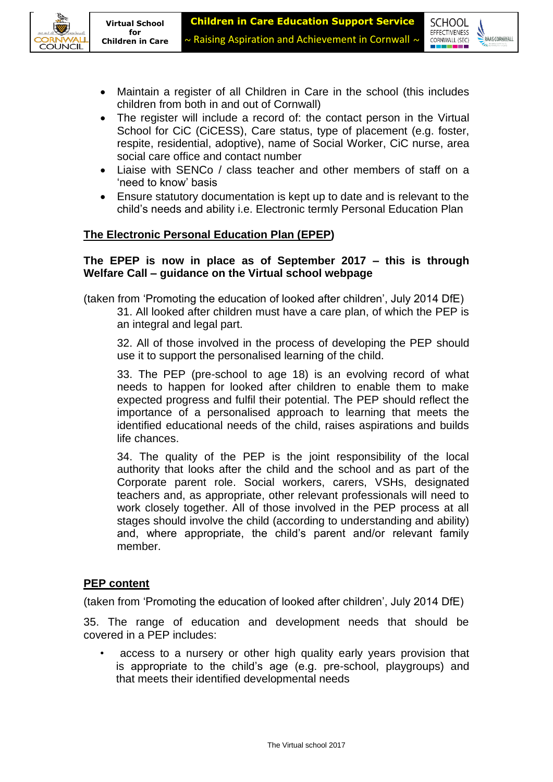



- Maintain a register of all Children in Care in the school (this includes children from both in and out of Cornwall)
- The register will include a record of: the contact person in the Virtual School for CiC (CiCESS), Care status, type of placement (e.g. foster, respite, residential, adoptive), name of Social Worker, CiC nurse, area social care office and contact number
- Liaise with SENCo / class teacher and other members of staff on a 'need to know' basis
- Ensure statutory documentation is kept up to date and is relevant to the child's needs and ability i.e. Electronic termly Personal Education Plan

# **The Electronic Personal Education Plan (EPEP)**

## **The EPEP is now in place as of September 2017 – this is through Welfare Call – guidance on the Virtual school webpage**

(taken from 'Promoting the education of looked after children', July 2014 DfE)

31. All looked after children must have a care plan, of which the PEP is an integral and legal part.

32. All of those involved in the process of developing the PEP should use it to support the personalised learning of the child.

33. The PEP (pre-school to age 18) is an evolving record of what needs to happen for looked after children to enable them to make expected progress and fulfil their potential. The PEP should reflect the importance of a personalised approach to learning that meets the identified educational needs of the child, raises aspirations and builds life chances.

34. The quality of the PEP is the joint responsibility of the local authority that looks after the child and the school and as part of the Corporate parent role. Social workers, carers, VSHs, designated teachers and, as appropriate, other relevant professionals will need to work closely together. All of those involved in the PEP process at all stages should involve the child (according to understanding and ability) and, where appropriate, the child's parent and/or relevant family member.

### **PEP content**

(taken from 'Promoting the education of looked after children', July 2014 DfE)

35. The range of education and development needs that should be covered in a PEP includes:

access to a nursery or other high quality early years provision that is appropriate to the child's age (e.g. pre-school, playgroups) and that meets their identified developmental needs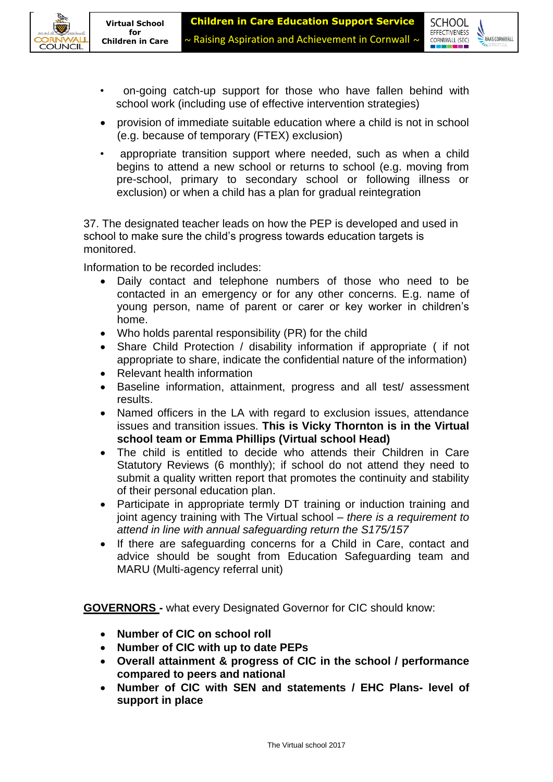**SCHOOL EFFECTIVENESS** 

CORNWALL (SEC)

 $\sum$ RAAS CORNWALL



- provision of immediate suitable education where a child is not in school (e.g. because of temporary (FTEX) exclusion)
- appropriate transition support where needed, such as when a child begins to attend a new school or returns to school (e.g. moving from pre-school, primary to secondary school or following illness or exclusion) or when a child has a plan for gradual reintegration

37. The designated teacher leads on how the PEP is developed and used in school to make sure the child's progress towards education targets is monitored.

Information to be recorded includes:

- Daily contact and telephone numbers of those who need to be contacted in an emergency or for any other concerns. E.g. name of young person, name of parent or carer or key worker in children's home.
- Who holds parental responsibility (PR) for the child
- Share Child Protection / disability information if appropriate ( if not appropriate to share, indicate the confidential nature of the information)
- Relevant health information
- Baseline information, attainment, progress and all test/ assessment results.
- Named officers in the LA with regard to exclusion issues, attendance issues and transition issues. **This is Vicky Thornton is in the Virtual school team or Emma Phillips (Virtual school Head)**
- The child is entitled to decide who attends their Children in Care Statutory Reviews (6 monthly); if school do not attend they need to submit a quality written report that promotes the continuity and stability of their personal education plan.
- Participate in appropriate termly DT training or induction training and joint agency training with The Virtual school – *there is a requirement to attend in line with annual safeguarding return the S175/157*
- If there are safeguarding concerns for a Child in Care, contact and advice should be sought from Education Safeguarding team and MARU (Multi-agency referral unit)

**GOVERNORS -** what every Designated Governor for CIC should know:

- **Number of CIC on school roll**
- **Number of CIC with up to date PEPs**
- **Overall attainment & progress of CIC in the school / performance compared to peers and national**
- **Number of CIC with SEN and statements / EHC Plans- level of support in place**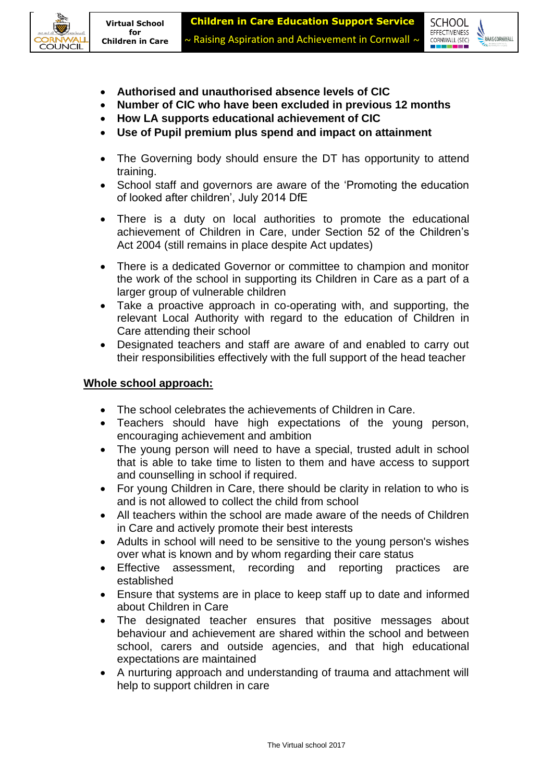



- **Authorised and unauthorised absence levels of CIC**
- **Number of CIC who have been excluded in previous 12 months**
- **How LA supports educational achievement of CIC**
- **Use of Pupil premium plus spend and impact on attainment**
- The Governing body should ensure the DT has opportunity to attend training.
- School staff and governors are aware of the 'Promoting the education of looked after children', July 2014 DfE
- There is a duty on local authorities to promote the educational achievement of Children in Care, under Section 52 of the Children's Act 2004 (still remains in place despite Act updates)
- There is a dedicated Governor or committee to champion and monitor the work of the school in supporting its Children in Care as a part of a larger group of vulnerable children
- Take a proactive approach in co-operating with, and supporting, the relevant Local Authority with regard to the education of Children in Care attending their school
- Designated teachers and staff are aware of and enabled to carry out their responsibilities effectively with the full support of the head teacher

### **Whole school approach:**

- The school celebrates the achievements of Children in Care.
- Teachers should have high expectations of the young person, encouraging achievement and ambition
- The young person will need to have a special, trusted adult in school that is able to take time to listen to them and have access to support and counselling in school if required.
- For young Children in Care, there should be clarity in relation to who is and is not allowed to collect the child from school
- All teachers within the school are made aware of the needs of Children in Care and actively promote their best interests
- Adults in school will need to be sensitive to the young person's wishes over what is known and by whom regarding their care status
- Effective assessment, recording and reporting practices are established
- Ensure that systems are in place to keep staff up to date and informed about Children in Care
- The designated teacher ensures that positive messages about behaviour and achievement are shared within the school and between school, carers and outside agencies, and that high educational expectations are maintained
- A nurturing approach and understanding of trauma and attachment will help to support children in care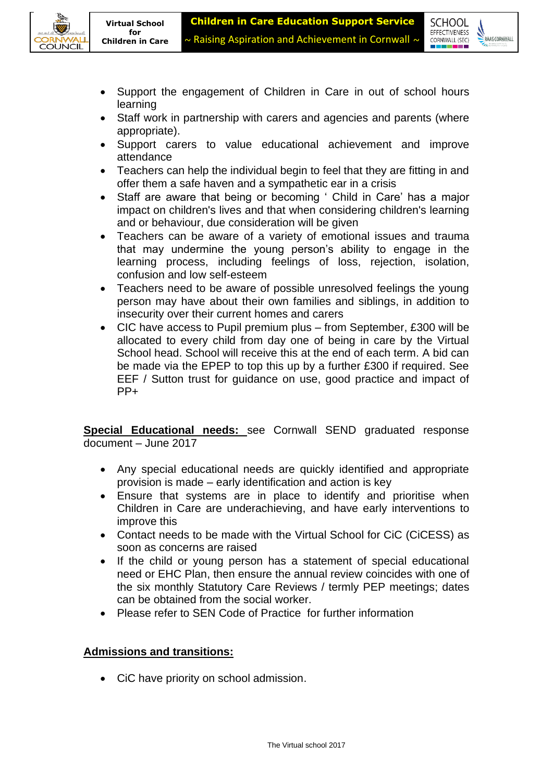



- Support the engagement of Children in Care in out of school hours learning
- Staff work in partnership with carers and agencies and parents (where appropriate).
- Support carers to value educational achievement and improve attendance
- Teachers can help the individual begin to feel that they are fitting in and offer them a safe haven and a sympathetic ear in a crisis
- Staff are aware that being or becoming ' Child in Care' has a major impact on children's lives and that when considering children's learning and or behaviour, due consideration will be given
- Teachers can be aware of a variety of emotional issues and trauma that may undermine the young person's ability to engage in the learning process, including feelings of loss, rejection, isolation, confusion and low self-esteem
- Teachers need to be aware of possible unresolved feelings the young person may have about their own families and siblings, in addition to insecurity over their current homes and carers
- CIC have access to Pupil premium plus from September, £300 will be allocated to every child from day one of being in care by the Virtual School head. School will receive this at the end of each term. A bid can be made via the EPEP to top this up by a further £300 if required. See EEF / Sutton trust for guidance on use, good practice and impact of PP+

**Special Educational needs:** see Cornwall SEND graduated response document – June 2017

- Any special educational needs are quickly identified and appropriate provision is made – early identification and action is key
- Ensure that systems are in place to identify and prioritise when Children in Care are underachieving, and have early interventions to improve this
- Contact needs to be made with the Virtual School for CiC (CiCESS) as soon as concerns are raised
- If the child or young person has a statement of special educational need or EHC Plan, then ensure the annual review coincides with one of the six monthly Statutory Care Reviews / termly PEP meetings; dates can be obtained from the social worker.
- Please refer to SEN Code of Practice for further information

# **Admissions and transitions:**

• CiC have priority on school admission.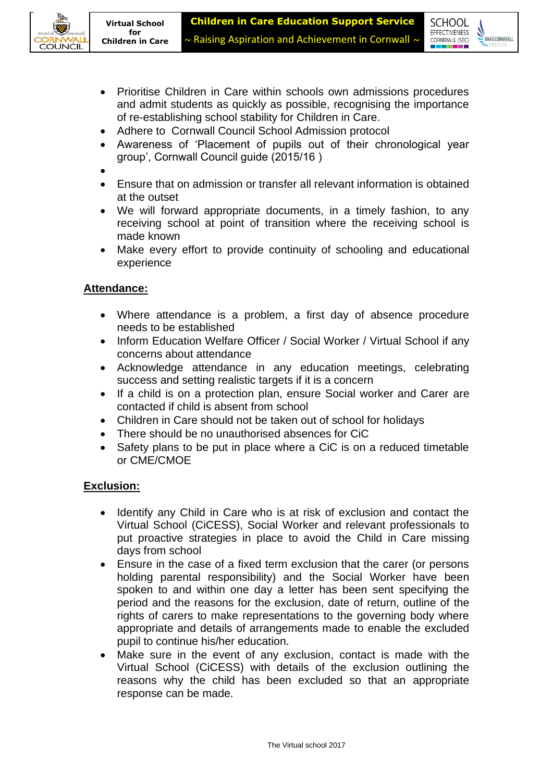



- Prioritise Children in Care within schools own admissions procedures and admit students as quickly as possible, recognising the importance of re-establishing school stability for Children in Care.
- Adhere to Cornwall Council School Admission protocol
- Awareness of 'Placement of pupils out of their chronological year group', Cornwall Council guide (2015/16 )
- •
- Ensure that on admission or transfer all relevant information is obtained at the outset
- We will forward appropriate documents, in a timely fashion, to any receiving school at point of transition where the receiving school is made known
- Make every effort to provide continuity of schooling and educational experience

# **Attendance:**

- Where attendance is a problem, a first day of absence procedure needs to be established
- Inform Education Welfare Officer / Social Worker / Virtual School if any concerns about attendance
- Acknowledge attendance in any education meetings, celebrating success and setting realistic targets if it is a concern
- If a child is on a protection plan, ensure Social worker and Carer are contacted if child is absent from school
- Children in Care should not be taken out of school for holidays
- There should be no unauthorised absences for CiC
- Safety plans to be put in place where a CiC is on a reduced timetable or CME/CMOE

# **Exclusion:**

- Identify any Child in Care who is at risk of exclusion and contact the Virtual School (CiCESS), Social Worker and relevant professionals to put proactive strategies in place to avoid the Child in Care missing days from school
- Ensure in the case of a fixed term exclusion that the carer (or persons holding parental responsibility) and the Social Worker have been spoken to and within one day a letter has been sent specifying the period and the reasons for the exclusion, date of return, outline of the rights of carers to make representations to the governing body where appropriate and details of arrangements made to enable the excluded pupil to continue his/her education.
- Make sure in the event of any exclusion, contact is made with the Virtual School (CiCESS) with details of the exclusion outlining the reasons why the child has been excluded so that an appropriate response can be made.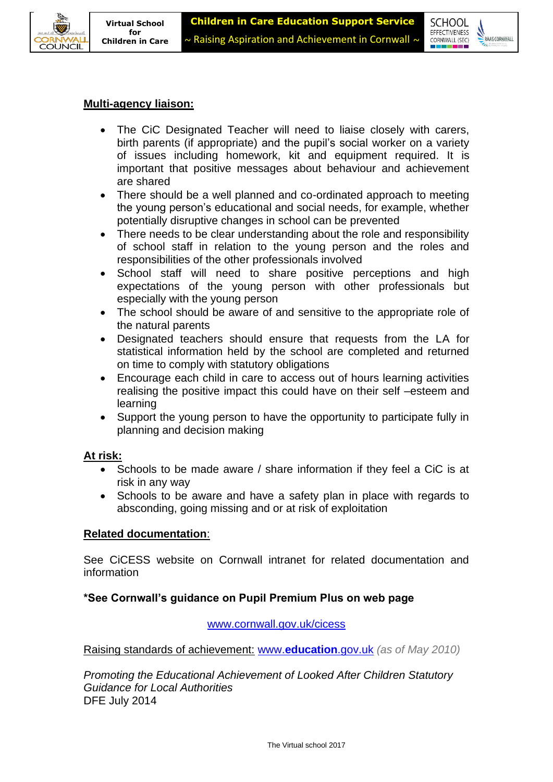



## **Multi-agency liaison:**

- The CiC Designated Teacher will need to liaise closely with carers, birth parents (if appropriate) and the pupil's social worker on a variety of issues including homework, kit and equipment required. It is important that positive messages about behaviour and achievement are shared
- There should be a well planned and co-ordinated approach to meeting the young person's educational and social needs, for example, whether potentially disruptive changes in school can be prevented
- There needs to be clear understanding about the role and responsibility of school staff in relation to the young person and the roles and responsibilities of the other professionals involved
- School staff will need to share positive perceptions and high expectations of the young person with other professionals but especially with the young person
- The school should be aware of and sensitive to the appropriate role of the natural parents
- Designated teachers should ensure that requests from the LA for statistical information held by the school are completed and returned on time to comply with statutory obligations
- Encourage each child in care to access out of hours learning activities realising the positive impact this could have on their self –esteem and learning
- Support the young person to have the opportunity to participate fully in planning and decision making

### **At risk:**

- Schools to be made aware / share information if they feel a CiC is at risk in any way
- Schools to be aware and have a safety plan in place with regards to absconding, going missing and or at risk of exploitation

### **Related documentation**:

See CiCESS website on Cornwall intranet for related documentation and information

# **\*See Cornwall's guidance on Pupil Premium Plus on web page**

[www.cornwall.gov.uk/cicess](http://www.cornwall.gov.uk/cicess)

Raising standards of achievement: www.**[education](http://www.education.gov.uk/)**.gov.uk *(as of May 2010)*

*Promoting the Educational Achievement of Looked After Children Statutory Guidance for Local Authorities* DFE July 2014